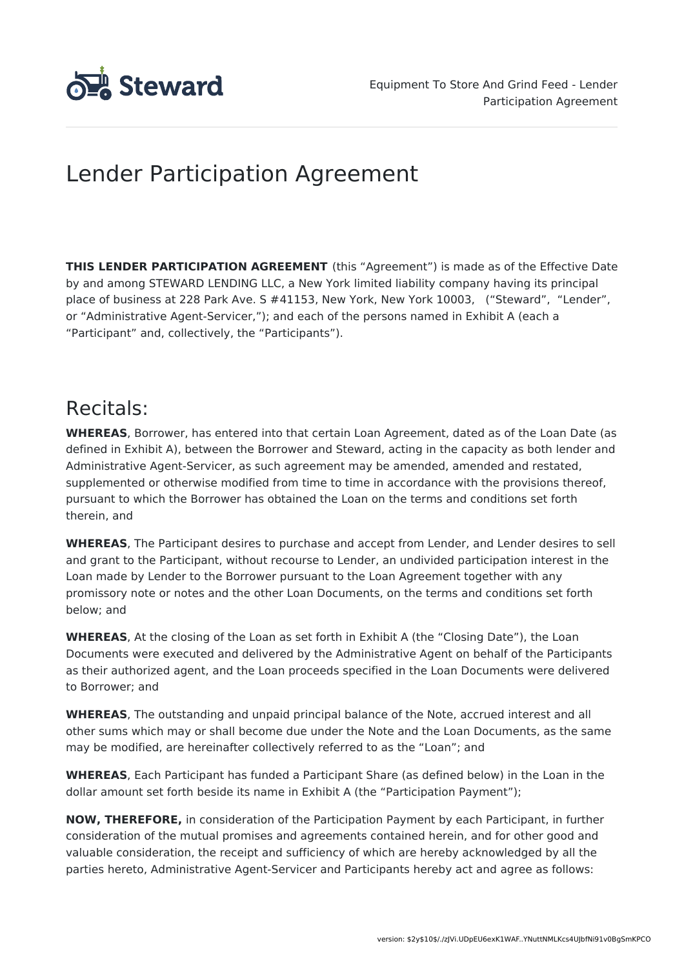

# Lender Participation Agreement

**THIS LENDER PARTICIPATION AGREEMENT** (this "Agreement") is made as of the Effective Date by and among STEWARD LENDING LLC, a New York limited liability company having its principal place of business at 228 Park Ave. S #41153, New York, New York 10003, ("Steward", "Lender", or "Administrative Agent-Servicer,"); and each of the persons named in Exhibit A (each a "Participant" and, collectively, the "Participants").

# Recitals:

**WHEREAS**, Borrower, has entered into that certain Loan Agreement, dated as of the Loan Date (as defined in Exhibit A), between the Borrower and Steward, acting in the capacity as both lender and Administrative Agent-Servicer, as such agreement may be amended, amended and restated, supplemented or otherwise modified from time to time in accordance with the provisions thereof, pursuant to which the Borrower has obtained the Loan on the terms and conditions set forth therein, and

**WHEREAS**, The Participant desires to purchase and accept from Lender, and Lender desires to sell and grant to the Participant, without recourse to Lender, an undivided participation interest in the Loan made by Lender to the Borrower pursuant to the Loan Agreement together with any promissory note or notes and the other Loan Documents, on the terms and conditions set forth below; and

**WHEREAS**, At the closing of the Loan as set forth in Exhibit A (the "Closing Date"), the Loan Documents were executed and delivered by the Administrative Agent on behalf of the Participants as their authorized agent, and the Loan proceeds specified in the Loan Documents were delivered to Borrower; and

**WHEREAS**, The outstanding and unpaid principal balance of the Note, accrued interest and all other sums which may or shall become due under the Note and the Loan Documents, as the same may be modified, are hereinafter collectively referred to as the "Loan"; and

**WHEREAS**, Each Participant has funded a Participant Share (as defined below) in the Loan in the dollar amount set forth beside its name in Exhibit A (the "Participation Payment");

**NOW, THEREFORE,** in consideration of the Participation Payment by each Participant, in further consideration of the mutual promises and agreements contained herein, and for other good and valuable consideration, the receipt and sufficiency of which are hereby acknowledged by all the parties hereto, Administrative Agent-Servicer and Participants hereby act and agree as follows: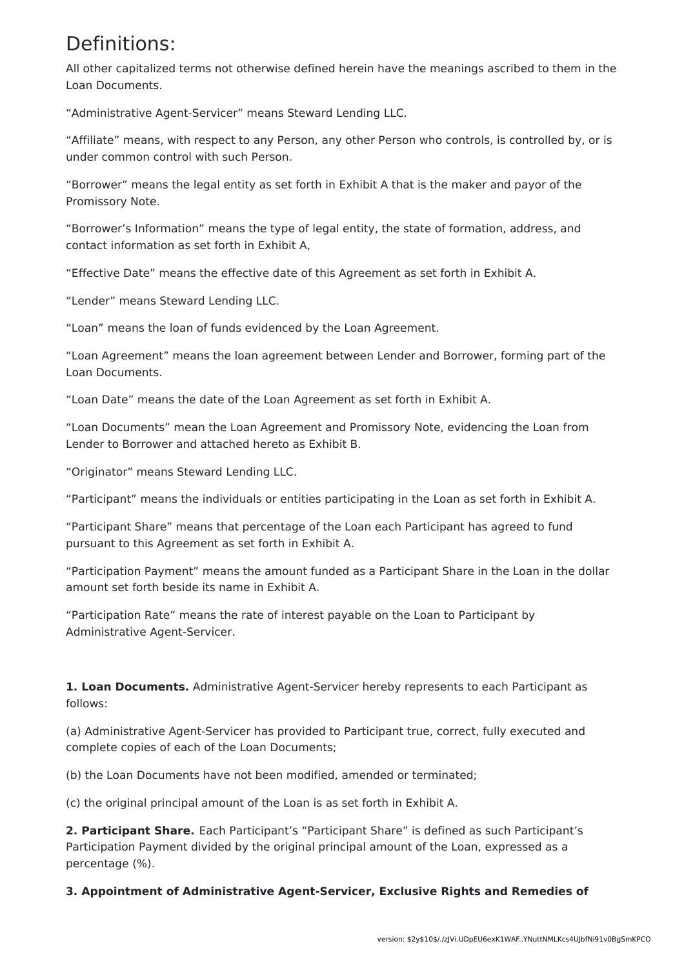### Definitions:

All other capitalized terms not otherwise defined herein have the meanings ascribed to them in the Loan Documents.

"Administrative Agent-Servicer" means Steward Lending LLC.

"Affiliate" means, with respect to any Person, any other Person who controls, is controlled by, or is under common control with such Person.

"Borrower" means the legal entity as set forth in Exhibit A that is the maker and payor of the Promissory Note.

"Borrower's Information" means the type of legal entity, the state of formation, address, and contact information as set forth in Exhibit A,

"Effective Date" means the effective date of this Agreement as set forth in Exhibit A.

"Lender" means Steward Lending LLC.

"Loan" means the loan of funds evidenced by the Loan Agreement.

"Loan Agreement" means the loan agreement between Lender and Borrower, forming part of the Loan Documents.

"Loan Date" means the date of the Loan Agreement as set forth in Exhibit A.

"Loan Documents" mean the Loan Agreement and Promissory Note, evidencing the Loan from Lender to Borrower and attached hereto as Exhibit B.

"Originator" means Steward Lending LLC.

"Participant" means the individuals or entities participating in the Loan as set forth in Exhibit A.

"Participant Share" means that percentage of the Loan each Participant has agreed to fund pursuant to this Agreement as set forth in Exhibit A.

"Participation Payment" means the amount funded as a Participant Share in the Loan in the dollar amount set forth beside its name in Exhibit A.

"Participation Rate" means the rate of interest payable on the Loan to Participant by Administrative Agent-Servicer.

**1. Loan Documents.** Administrative Agent-Servicer hereby represents to each Participant as follows:

(a) Administrative Agent-Servicer has provided to Participant true, correct, fully executed and complete copies of each of the Loan Documents;

(b) the Loan Documents have not been modified, amended or terminated;

(c) the original principal amount of the Loan is as set forth in Exhibit A.

**2. Participant Share.** Each Participant's "Participant Share" is defined as such Participant's Participation Payment divided by the original principal amount of the Loan, expressed as a percentage (%).

**3. Appointment of Administrative Agent-Servicer, Exclusive Rights and Remedies of**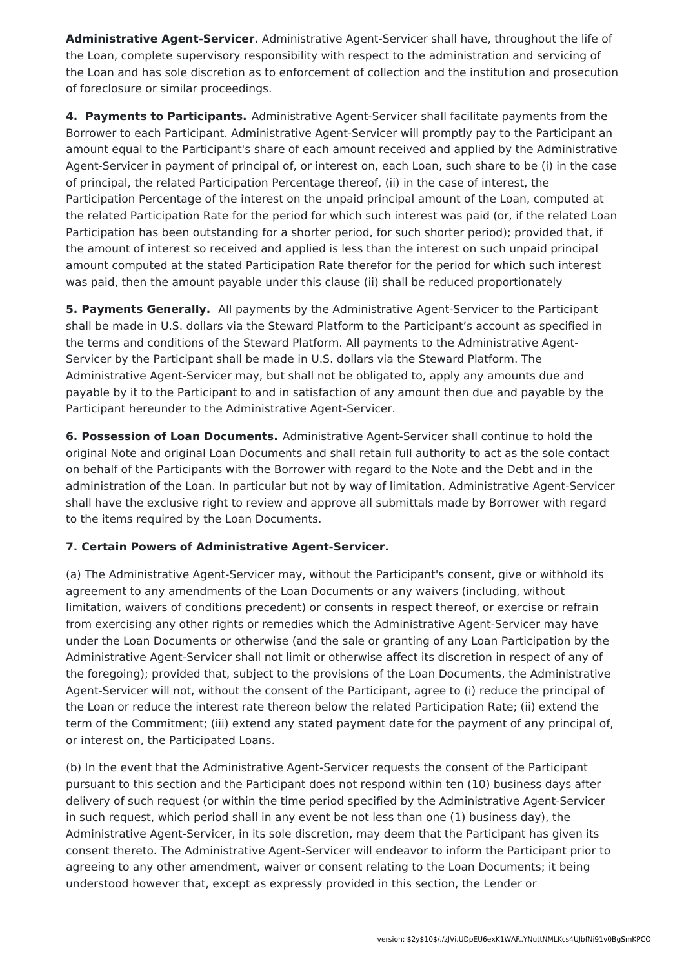**Administrative Agent-Servicer.** Administrative Agent-Servicer shall have, throughout the life of the Loan, complete supervisory responsibility with respect to the administration and servicing of the Loan and has sole discretion as to enforcement of collection and the institution and prosecution of foreclosure or similar proceedings.

**4. Payments to Participants.** Administrative Agent-Servicer shall facilitate payments from the Borrower to each Participant. Administrative Agent-Servicer will promptly pay to the Participant an amount equal to the Participant's share of each amount received and applied by the Administrative Agent-Servicer in payment of principal of, or interest on, each Loan, such share to be (i) in the case of principal, the related Participation Percentage thereof, (ii) in the case of interest, the Participation Percentage of the interest on the unpaid principal amount of the Loan, computed at the related Participation Rate for the period for which such interest was paid (or, if the related Loan Participation has been outstanding for a shorter period, for such shorter period); provided that, if the amount of interest so received and applied is less than the interest on such unpaid principal amount computed at the stated Participation Rate therefor for the period for which such interest was paid, then the amount payable under this clause (ii) shall be reduced proportionately

**5. Payments Generally.** All payments by the Administrative Agent-Servicer to the Participant shall be made in U.S. dollars via the Steward Platform to the Participant's account as specified in the terms and conditions of the Steward Platform. All payments to the Administrative Agent-Servicer by the Participant shall be made in U.S. dollars via the Steward Platform. The Administrative Agent-Servicer may, but shall not be obligated to, apply any amounts due and payable by it to the Participant to and in satisfaction of any amount then due and payable by the Participant hereunder to the Administrative Agent-Servicer.

**6. Possession of Loan Documents.** Administrative Agent-Servicer shall continue to hold the original Note and original Loan Documents and shall retain full authority to act as the sole contact on behalf of the Participants with the Borrower with regard to the Note and the Debt and in the administration of the Loan. In particular but not by way of limitation, Administrative Agent-Servicer shall have the exclusive right to review and approve all submittals made by Borrower with regard to the items required by the Loan Documents.

### **7. Certain Powers of Administrative Agent-Servicer.**

(a) The Administrative Agent-Servicer may, without the Participant's consent, give or withhold its agreement to any amendments of the Loan Documents or any waivers (including, without limitation, waivers of conditions precedent) or consents in respect thereof, or exercise or refrain from exercising any other rights or remedies which the Administrative Agent-Servicer may have under the Loan Documents or otherwise (and the sale or granting of any Loan Participation by the Administrative Agent-Servicer shall not limit or otherwise affect its discretion in respect of any of the foregoing); provided that, subject to the provisions of the Loan Documents, the Administrative Agent-Servicer will not, without the consent of the Participant, agree to (i) reduce the principal of the Loan or reduce the interest rate thereon below the related Participation Rate; (ii) extend the term of the Commitment; (iii) extend any stated payment date for the payment of any principal of, or interest on, the Participated Loans.

(b) In the event that the Administrative Agent-Servicer requests the consent of the Participant pursuant to this section and the Participant does not respond within ten (10) business days after delivery of such request (or within the time period specified by the Administrative Agent-Servicer in such request, which period shall in any event be not less than one (1) business day), the Administrative Agent-Servicer, in its sole discretion, may deem that the Participant has given its consent thereto. The Administrative Agent-Servicer will endeavor to inform the Participant prior to agreeing to any other amendment, waiver or consent relating to the Loan Documents; it being understood however that, except as expressly provided in this section, the Lender or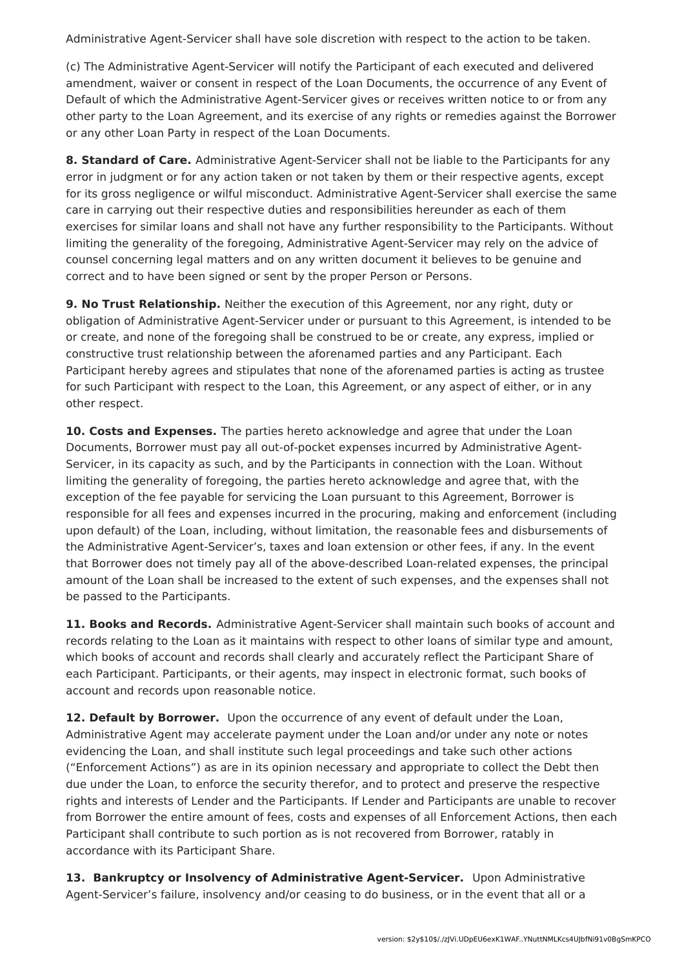Administrative Agent-Servicer shall have sole discretion with respect to the action to be taken.

(c) The Administrative Agent-Servicer will notify the Participant of each executed and delivered amendment, waiver or consent in respect of the Loan Documents, the occurrence of any Event of Default of which the Administrative Agent-Servicer gives or receives written notice to or from any other party to the Loan Agreement, and its exercise of any rights or remedies against the Borrower or any other Loan Party in respect of the Loan Documents.

**8. Standard of Care.** Administrative Agent-Servicer shall not be liable to the Participants for any error in judgment or for any action taken or not taken by them or their respective agents, except for its gross negligence or wilful misconduct. Administrative Agent-Servicer shall exercise the same care in carrying out their respective duties and responsibilities hereunder as each of them exercises for similar loans and shall not have any further responsibility to the Participants. Without limiting the generality of the foregoing, Administrative Agent-Servicer may rely on the advice of counsel concerning legal matters and on any written document it believes to be genuine and correct and to have been signed or sent by the proper Person or Persons.

**9. No Trust Relationship.** Neither the execution of this Agreement, nor any right, duty or obligation of Administrative Agent-Servicer under or pursuant to this Agreement, is intended to be or create, and none of the foregoing shall be construed to be or create, any express, implied or constructive trust relationship between the aforenamed parties and any Participant. Each Participant hereby agrees and stipulates that none of the aforenamed parties is acting as trustee for such Participant with respect to the Loan, this Agreement, or any aspect of either, or in any other respect.

**10. Costs and Expenses.** The parties hereto acknowledge and agree that under the Loan Documents, Borrower must pay all out-of-pocket expenses incurred by Administrative Agent-Servicer, in its capacity as such, and by the Participants in connection with the Loan. Without limiting the generality of foregoing, the parties hereto acknowledge and agree that, with the exception of the fee payable for servicing the Loan pursuant to this Agreement, Borrower is responsible for all fees and expenses incurred in the procuring, making and enforcement (including upon default) of the Loan, including, without limitation, the reasonable fees and disbursements of the Administrative Agent-Servicer's, taxes and loan extension or other fees, if any. In the event that Borrower does not timely pay all of the above-described Loan-related expenses, the principal amount of the Loan shall be increased to the extent of such expenses, and the expenses shall not be passed to the Participants.

**11. Books and Records.** Administrative Agent-Servicer shall maintain such books of account and records relating to the Loan as it maintains with respect to other loans of similar type and amount, which books of account and records shall clearly and accurately reflect the Participant Share of each Participant. Participants, or their agents, may inspect in electronic format, such books of account and records upon reasonable notice.

**12. Default by Borrower.** Upon the occurrence of any event of default under the Loan, Administrative Agent may accelerate payment under the Loan and/or under any note or notes evidencing the Loan, and shall institute such legal proceedings and take such other actions ("Enforcement Actions") as are in its opinion necessary and appropriate to collect the Debt then due under the Loan, to enforce the security therefor, and to protect and preserve the respective rights and interests of Lender and the Participants. If Lender and Participants are unable to recover from Borrower the entire amount of fees, costs and expenses of all Enforcement Actions, then each Participant shall contribute to such portion as is not recovered from Borrower, ratably in accordance with its Participant Share.

**13. Bankruptcy or Insolvency of Administrative Agent-Servicer.** Upon Administrative Agent-Servicer's failure, insolvency and/or ceasing to do business, or in the event that all or a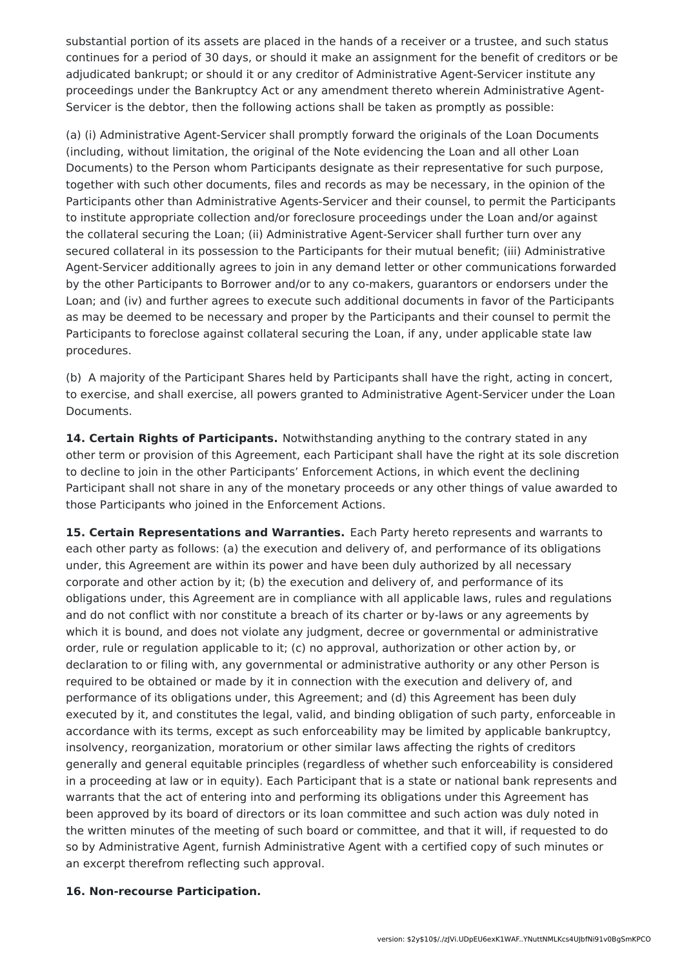substantial portion of its assets are placed in the hands of a receiver or a trustee, and such status continues for a period of 30 days, or should it make an assignment for the benefit of creditors or be adjudicated bankrupt; or should it or any creditor of Administrative Agent-Servicer institute any proceedings under the Bankruptcy Act or any amendment thereto wherein Administrative Agent-Servicer is the debtor, then the following actions shall be taken as promptly as possible:

(a) (i) Administrative Agent-Servicer shall promptly forward the originals of the Loan Documents (including, without limitation, the original of the Note evidencing the Loan and all other Loan Documents) to the Person whom Participants designate as their representative for such purpose, together with such other documents, files and records as may be necessary, in the opinion of the Participants other than Administrative Agents-Servicer and their counsel, to permit the Participants to institute appropriate collection and/or foreclosure proceedings under the Loan and/or against the collateral securing the Loan; (ii) Administrative Agent-Servicer shall further turn over any secured collateral in its possession to the Participants for their mutual benefit; (iii) Administrative Agent-Servicer additionally agrees to join in any demand letter or other communications forwarded by the other Participants to Borrower and/or to any co-makers, guarantors or endorsers under the Loan; and (iv) and further agrees to execute such additional documents in favor of the Participants as may be deemed to be necessary and proper by the Participants and their counsel to permit the Participants to foreclose against collateral securing the Loan, if any, under applicable state law procedures.

(b) A majority of the Participant Shares held by Participants shall have the right, acting in concert, to exercise, and shall exercise, all powers granted to Administrative Agent-Servicer under the Loan Documents.

**14. Certain Rights of Participants.** Notwithstanding anything to the contrary stated in any other term or provision of this Agreement, each Participant shall have the right at its sole discretion to decline to join in the other Participants' Enforcement Actions, in which event the declining Participant shall not share in any of the monetary proceeds or any other things of value awarded to those Participants who joined in the Enforcement Actions.

**15. Certain Representations and Warranties.** Each Party hereto represents and warrants to each other party as follows: (a) the execution and delivery of, and performance of its obligations under, this Agreement are within its power and have been duly authorized by all necessary corporate and other action by it; (b) the execution and delivery of, and performance of its obligations under, this Agreement are in compliance with all applicable laws, rules and regulations and do not conflict with nor constitute a breach of its charter or by-laws or any agreements by which it is bound, and does not violate any judgment, decree or governmental or administrative order, rule or regulation applicable to it; (c) no approval, authorization or other action by, or declaration to or filing with, any governmental or administrative authority or any other Person is required to be obtained or made by it in connection with the execution and delivery of, and performance of its obligations under, this Agreement; and (d) this Agreement has been duly executed by it, and constitutes the legal, valid, and binding obligation of such party, enforceable in accordance with its terms, except as such enforceability may be limited by applicable bankruptcy, insolvency, reorganization, moratorium or other similar laws affecting the rights of creditors generally and general equitable principles (regardless of whether such enforceability is considered in a proceeding at law or in equity). Each Participant that is a state or national bank represents and warrants that the act of entering into and performing its obligations under this Agreement has been approved by its board of directors or its loan committee and such action was duly noted in the written minutes of the meeting of such board or committee, and that it will, if requested to do so by Administrative Agent, furnish Administrative Agent with a certified copy of such minutes or an excerpt therefrom reflecting such approval.

#### **16. Non-recourse Participation.**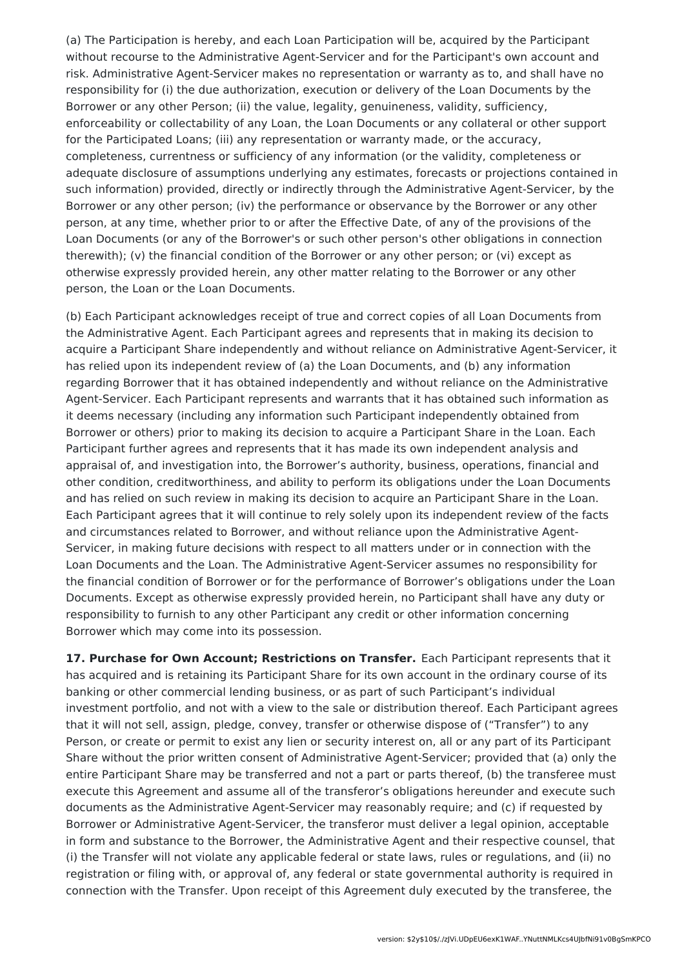(a) The Participation is hereby, and each Loan Participation will be, acquired by the Participant without recourse to the Administrative Agent-Servicer and for the Participant's own account and risk. Administrative Agent-Servicer makes no representation or warranty as to, and shall have no responsibility for (i) the due authorization, execution or delivery of the Loan Documents by the Borrower or any other Person; (ii) the value, legality, genuineness, validity, sufficiency, enforceability or collectability of any Loan, the Loan Documents or any collateral or other support for the Participated Loans; (iii) any representation or warranty made, or the accuracy, completeness, currentness or sufficiency of any information (or the validity, completeness or adequate disclosure of assumptions underlying any estimates, forecasts or projections contained in such information) provided, directly or indirectly through the Administrative Agent-Servicer, by the Borrower or any other person; (iv) the performance or observance by the Borrower or any other person, at any time, whether prior to or after the Effective Date, of any of the provisions of the Loan Documents (or any of the Borrower's or such other person's other obligations in connection therewith); (v) the financial condition of the Borrower or any other person; or (vi) except as otherwise expressly provided herein, any other matter relating to the Borrower or any other person, the Loan or the Loan Documents.

(b) Each Participant acknowledges receipt of true and correct copies of all Loan Documents from the Administrative Agent. Each Participant agrees and represents that in making its decision to acquire a Participant Share independently and without reliance on Administrative Agent-Servicer, it has relied upon its independent review of (a) the Loan Documents, and (b) any information regarding Borrower that it has obtained independently and without reliance on the Administrative Agent-Servicer. Each Participant represents and warrants that it has obtained such information as it deems necessary (including any information such Participant independently obtained from Borrower or others) prior to making its decision to acquire a Participant Share in the Loan. Each Participant further agrees and represents that it has made its own independent analysis and appraisal of, and investigation into, the Borrower's authority, business, operations, financial and other condition, creditworthiness, and ability to perform its obligations under the Loan Documents and has relied on such review in making its decision to acquire an Participant Share in the Loan. Each Participant agrees that it will continue to rely solely upon its independent review of the facts and circumstances related to Borrower, and without reliance upon the Administrative Agent-Servicer, in making future decisions with respect to all matters under or in connection with the Loan Documents and the Loan. The Administrative Agent-Servicer assumes no responsibility for the financial condition of Borrower or for the performance of Borrower's obligations under the Loan Documents. Except as otherwise expressly provided herein, no Participant shall have any duty or responsibility to furnish to any other Participant any credit or other information concerning Borrower which may come into its possession.

**17. Purchase for Own Account; Restrictions on Transfer.** Each Participant represents that it has acquired and is retaining its Participant Share for its own account in the ordinary course of its banking or other commercial lending business, or as part of such Participant's individual investment portfolio, and not with a view to the sale or distribution thereof. Each Participant agrees that it will not sell, assign, pledge, convey, transfer or otherwise dispose of ("Transfer") to any Person, or create or permit to exist any lien or security interest on, all or any part of its Participant Share without the prior written consent of Administrative Agent-Servicer; provided that (a) only the entire Participant Share may be transferred and not a part or parts thereof, (b) the transferee must execute this Agreement and assume all of the transferor's obligations hereunder and execute such documents as the Administrative Agent-Servicer may reasonably require; and (c) if requested by Borrower or Administrative Agent-Servicer, the transferor must deliver a legal opinion, acceptable in form and substance to the Borrower, the Administrative Agent and their respective counsel, that (i) the Transfer will not violate any applicable federal or state laws, rules or regulations, and (ii) no registration or filing with, or approval of, any federal or state governmental authority is required in connection with the Transfer. Upon receipt of this Agreement duly executed by the transferee, the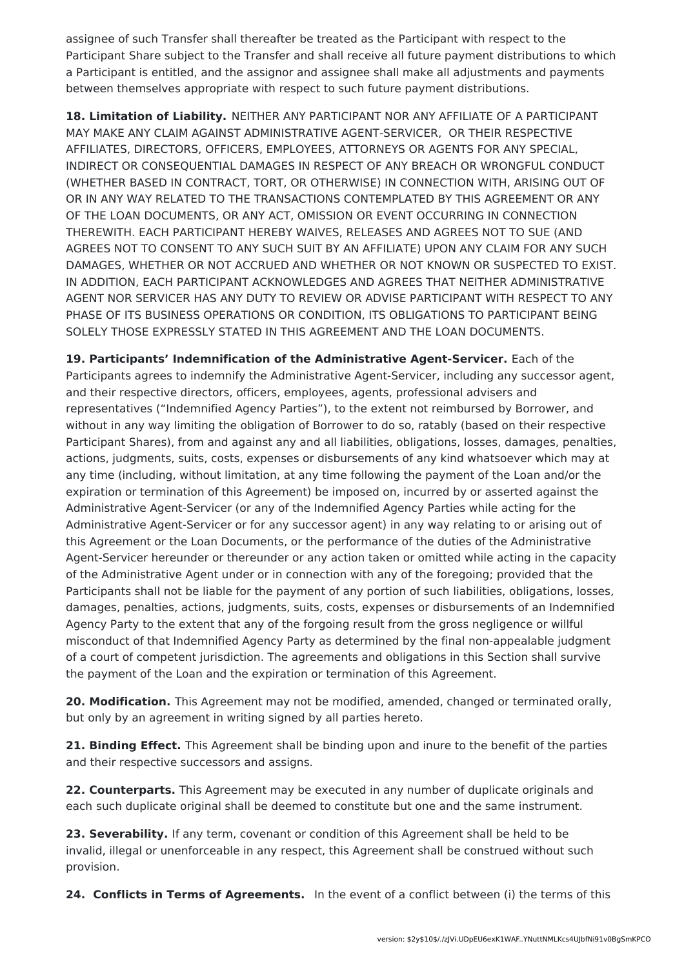assignee of such Transfer shall thereafter be treated as the Participant with respect to the Participant Share subject to the Transfer and shall receive all future payment distributions to which a Participant is entitled, and the assignor and assignee shall make all adjustments and payments between themselves appropriate with respect to such future payment distributions.

**18. Limitation of Liability.** NEITHER ANY PARTICIPANT NOR ANY AFFILIATE OF A PARTICIPANT MAY MAKE ANY CLAIM AGAINST ADMINISTRATIVE AGENT-SERVICER, OR THEIR RESPECTIVE AFFILIATES, DIRECTORS, OFFICERS, EMPLOYEES, ATTORNEYS OR AGENTS FOR ANY SPECIAL, INDIRECT OR CONSEQUENTIAL DAMAGES IN RESPECT OF ANY BREACH OR WRONGFUL CONDUCT (WHETHER BASED IN CONTRACT, TORT, OR OTHERWISE) IN CONNECTION WITH, ARISING OUT OF OR IN ANY WAY RELATED TO THE TRANSACTIONS CONTEMPLATED BY THIS AGREEMENT OR ANY OF THE LOAN DOCUMENTS, OR ANY ACT, OMISSION OR EVENT OCCURRING IN CONNECTION THEREWITH. EACH PARTICIPANT HEREBY WAIVES, RELEASES AND AGREES NOT TO SUE (AND AGREES NOT TO CONSENT TO ANY SUCH SUIT BY AN AFFILIATE) UPON ANY CLAIM FOR ANY SUCH DAMAGES, WHETHER OR NOT ACCRUED AND WHETHER OR NOT KNOWN OR SUSPECTED TO EXIST. IN ADDITION, EACH PARTICIPANT ACKNOWLEDGES AND AGREES THAT NEITHER ADMINISTRATIVE AGENT NOR SERVICER HAS ANY DUTY TO REVIEW OR ADVISE PARTICIPANT WITH RESPECT TO ANY PHASE OF ITS BUSINESS OPERATIONS OR CONDITION, ITS OBLIGATIONS TO PARTICIPANT BEING SOLELY THOSE EXPRESSLY STATED IN THIS AGREEMENT AND THE LOAN DOCUMENTS.

**19. Participants' Indemnification of the Administrative Agent-Servicer.** Each of the Participants agrees to indemnify the Administrative Agent-Servicer, including any successor agent, and their respective directors, officers, employees, agents, professional advisers and representatives ("Indemnified Agency Parties"), to the extent not reimbursed by Borrower, and without in any way limiting the obligation of Borrower to do so, ratably (based on their respective Participant Shares), from and against any and all liabilities, obligations, losses, damages, penalties, actions, judgments, suits, costs, expenses or disbursements of any kind whatsoever which may at any time (including, without limitation, at any time following the payment of the Loan and/or the expiration or termination of this Agreement) be imposed on, incurred by or asserted against the Administrative Agent-Servicer (or any of the Indemnified Agency Parties while acting for the Administrative Agent-Servicer or for any successor agent) in any way relating to or arising out of this Agreement or the Loan Documents, or the performance of the duties of the Administrative Agent-Servicer hereunder or thereunder or any action taken or omitted while acting in the capacity of the Administrative Agent under or in connection with any of the foregoing; provided that the Participants shall not be liable for the payment of any portion of such liabilities, obligations, losses, damages, penalties, actions, judgments, suits, costs, expenses or disbursements of an Indemnified Agency Party to the extent that any of the forgoing result from the gross negligence or willful misconduct of that Indemnified Agency Party as determined by the final non-appealable judgment of a court of competent jurisdiction. The agreements and obligations in this Section shall survive the payment of the Loan and the expiration or termination of this Agreement.

**20. Modification.** This Agreement may not be modified, amended, changed or terminated orally, but only by an agreement in writing signed by all parties hereto.

**21. Binding Effect.** This Agreement shall be binding upon and inure to the benefit of the parties and their respective successors and assigns.

**22. Counterparts.** This Agreement may be executed in any number of duplicate originals and each such duplicate original shall be deemed to constitute but one and the same instrument.

**23. Severability.** If any term, covenant or condition of this Agreement shall be held to be invalid, illegal or unenforceable in any respect, this Agreement shall be construed without such provision.

**24. Conflicts in Terms of Agreements.** In the event of a conflict between (i) the terms of this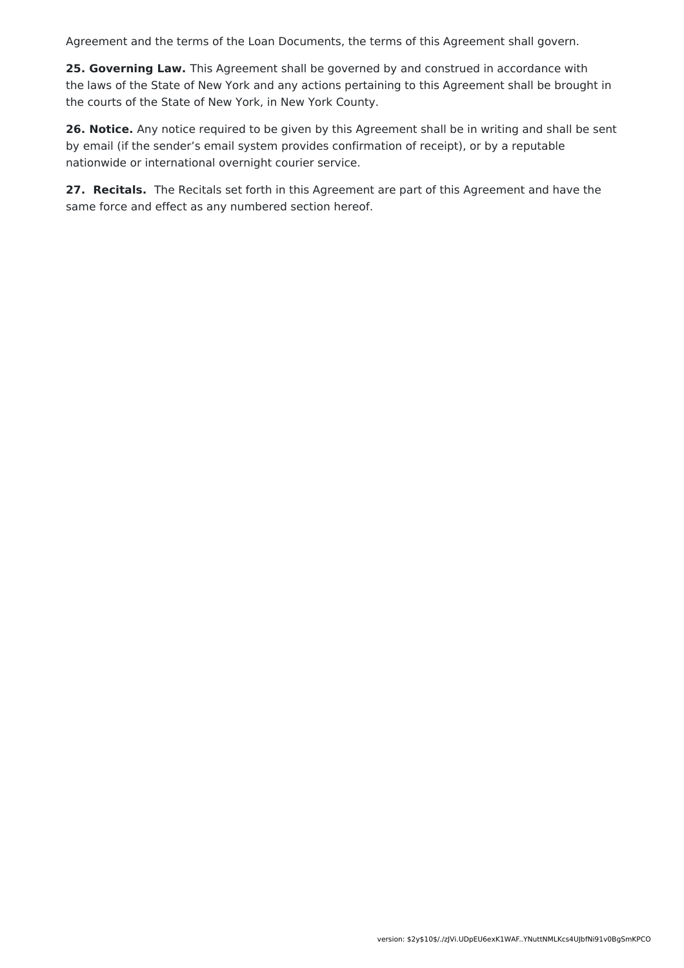Agreement and the terms of the Loan Documents, the terms of this Agreement shall govern.

**25. Governing Law.** This Agreement shall be governed by and construed in accordance with the laws of the State of New York and any actions pertaining to this Agreement shall be brought in the courts of the State of New York, in New York County.

**26. Notice.** Any notice required to be given by this Agreement shall be in writing and shall be sent by email (if the sender's email system provides confirmation of receipt), or by a reputable nationwide or international overnight courier service.

**27. Recitals.** The Recitals set forth in this Agreement are part of this Agreement and have the same force and effect as any numbered section hereof.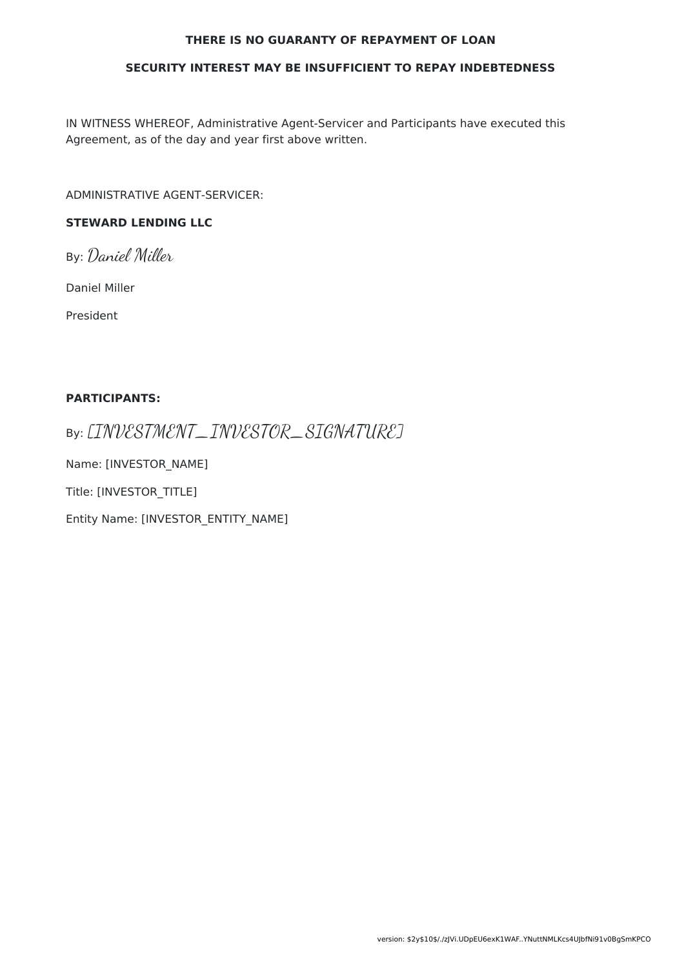#### **THERE IS NO GUARANTY OF REPAYMENT OF LOAN**

#### **SECURITY INTEREST MAY BE INSUFFICIENT TO REPAY INDEBTEDNESS**

IN WITNESS WHEREOF, Administrative Agent-Servicer and Participants have executed this Agreement, as of the day and year first above written.

ADMINISTRATIVE AGENT-SERVICER:

### **STEWARD LENDING LLC**

By: Daniel Miller

Daniel Miller

President

#### **PARTICIPANTS:**

By: [INVESTMENT\_INVESTOR\_SIGNATURE]

Name: [INVESTOR\_NAME]

Title: [INVESTOR\_TITLE]

Entity Name: [INVESTOR\_ENTITY\_NAME]